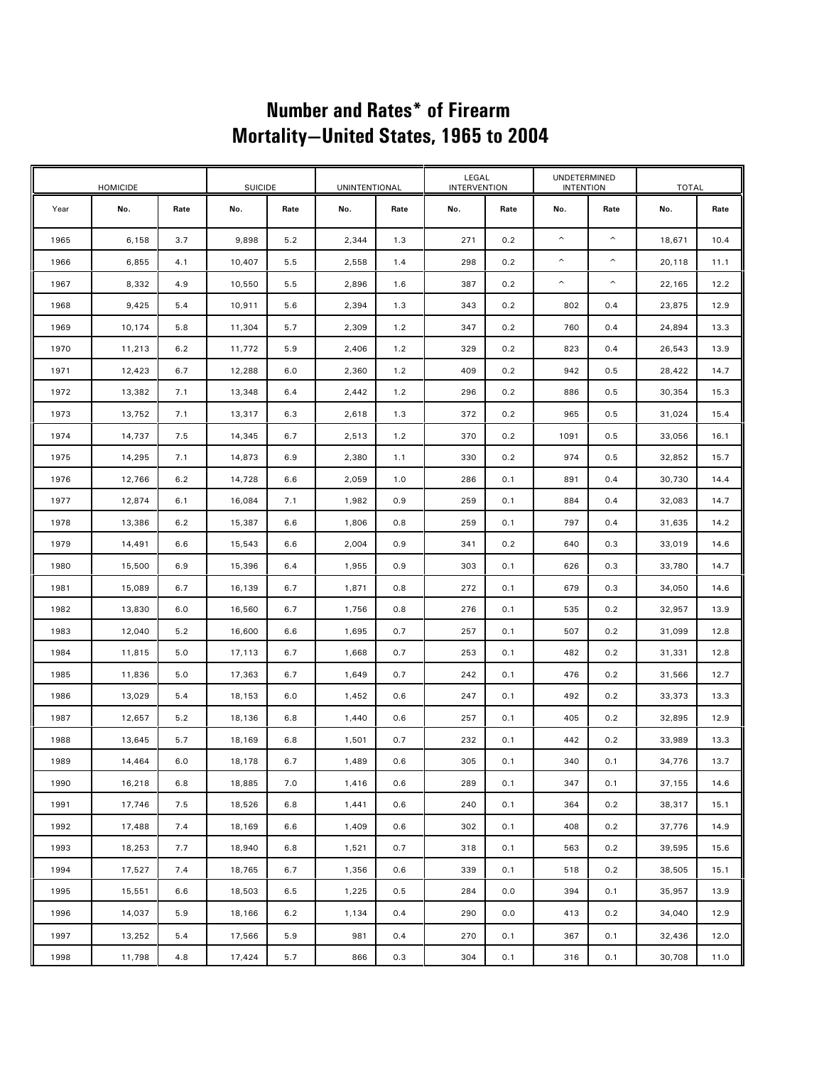## **Number and Rates\* of Firearm Mortality—United States, 1965 to 2004**

| <b>HOMICIDE</b> |        |      | <b>SUICIDE</b> |      | <b>UNINTENTIONAL</b> |      | LEGAL<br><b>INTERVENTION</b> |      | UNDETERMINED<br><b>INTENTION</b> |      | <b>TOTAL</b> |      |
|-----------------|--------|------|----------------|------|----------------------|------|------------------------------|------|----------------------------------|------|--------------|------|
| Year            | No.    | Rate | No.            | Rate | No.                  | Rate | No.                          | Rate | No.                              | Rate | No.          | Rate |
| 1965            | 6,158  | 3.7  | 9,898          | 5.2  | 2,344                | 1.3  | 271                          | 0.2  | ٨                                | ٨    | 18,671       | 10.4 |
| 1966            | 6,855  | 4.1  | 10,407         | 5.5  | 2,558                | 1.4  | 298                          | 0.2  | $\boldsymbol{\mathsf{\Lambda}}$  | ^    | 20,118       | 11.1 |
| 1967            | 8,332  | 4.9  | 10,550         | 5.5  | 2,896                | 1.6  | 387                          | 0.2  | ٨                                | ٨    | 22,165       | 12.2 |
| 1968            | 9,425  | 5.4  | 10,911         | 5.6  | 2,394                | 1.3  | 343                          | 0.2  | 802                              | 0.4  | 23,875       | 12.9 |
| 1969            | 10,174 | 5.8  | 11,304         | 5.7  | 2,309                | 1.2  | 347                          | 0.2  | 760                              | 0.4  | 24,894       | 13.3 |
| 1970            | 11,213 | 6.2  | 11,772         | 5.9  | 2,406                | 1.2  | 329                          | 0.2  | 823                              | 0.4  | 26,543       | 13.9 |
| 1971            | 12,423 | 6.7  | 12,288         | 6.0  | 2,360                | 1.2  | 409                          | 0.2  | 942                              | 0.5  | 28,422       | 14.7 |
| 1972            | 13,382 | 7.1  | 13,348         | 6.4  | 2,442                | 1.2  | 296                          | 0.2  | 886                              | 0.5  | 30,354       | 15.3 |
| 1973            | 13,752 | 7.1  | 13,317         | 6.3  | 2,618                | 1.3  | 372                          | 0.2  | 965                              | 0.5  | 31,024       | 15.4 |
| 1974            | 14,737 | 7.5  | 14,345         | 6.7  | 2,513                | 1.2  | 370                          | 0.2  | 1091                             | 0.5  | 33,056       | 16.1 |
| 1975            | 14,295 | 7.1  | 14,873         | 6.9  | 2,380                | 1.1  | 330                          | 0.2  | 974                              | 0.5  | 32,852       | 15.7 |
| 1976            | 12,766 | 6.2  | 14,728         | 6.6  | 2,059                | 1.0  | 286                          | 0.1  | 891                              | 0.4  | 30,730       | 14.4 |
| 1977            | 12,874 | 6.1  | 16,084         | 7.1  | 1,982                | 0.9  | 259                          | 0.1  | 884                              | 0.4  | 32,083       | 14.7 |
| 1978            | 13,386 | 6.2  | 15,387         | 6.6  | 1,806                | 0.8  | 259                          | 0.1  | 797                              | 0.4  | 31,635       | 14.2 |
| 1979            | 14,491 | 6.6  | 15,543         | 6.6  | 2,004                | 0.9  | 341                          | 0.2  | 640                              | 0.3  | 33,019       | 14.6 |
| 1980            | 15,500 | 6.9  | 15,396         | 6.4  | 1,955                | 0.9  | 303                          | 0.1  | 626                              | 0.3  | 33,780       | 14.7 |
| 1981            | 15,089 | 6.7  | 16,139         | 6.7  | 1,871                | 0.8  | 272                          | 0.1  | 679                              | 0.3  | 34,050       | 14.6 |
| 1982            | 13,830 | 6.0  | 16,560         | 6.7  | 1,756                | 0.8  | 276                          | 0.1  | 535                              | 0.2  | 32,957       | 13.9 |
| 1983            | 12,040 | 5.2  | 16,600         | 6.6  | 1,695                | 0.7  | 257                          | 0.1  | 507                              | 0.2  | 31,099       | 12.8 |
| 1984            | 11,815 | 5.0  | 17,113         | 6.7  | 1,668                | 0.7  | 253                          | 0.1  | 482                              | 0.2  | 31,331       | 12.8 |
| 1985            | 11,836 | 5.0  | 17,363         | 6.7  | 1,649                | 0.7  | 242                          | 0.1  | 476                              | 0.2  | 31,566       | 12.7 |
| 1986            | 13,029 | 5.4  | 18,153         | 6.0  | 1,452                | 0.6  | 247                          | 0.1  | 492                              | 0.2  | 33,373       | 13.3 |
| 1987            | 12,657 | 5.2  | 18,136         | 6.8  | 1,440                | 0.6  | 257                          | 0.1  | 405                              | 0.2  | 32,895       | 12.9 |
| 1988            | 13,645 | 5.7  | 18,169         | 6.8  | 1,501                | 0.7  | 232                          | 0.1  | 442                              | 0.2  | 33,989       | 13.3 |
| 1989            | 14,464 | 6.0  | 18,178         | 6.7  | 1,489                | 0.6  | 305                          | 0.1  | 340                              | 0.1  | 34,776       | 13.7 |
| 1990            | 16,218 | 6.8  | 18,885         | 7.0  | 1,416                | 0.6  | 289                          | 0.1  | 347                              | 0.1  | 37,155       | 14.6 |
| 1991            | 17,746 | 7.5  | 18,526         | 6.8  | 1,441                | 0.6  | 240                          | 0.1  | 364                              | 0.2  | 38,317       | 15.1 |
| 1992            | 17,488 | 7.4  | 18,169         | 6.6  | 1,409                | 0.6  | 302                          | 0.1  | 408                              | 0.2  | 37,776       | 14.9 |
| 1993            | 18,253 | 7.7  | 18,940         | 6.8  | 1,521                | 0.7  | 318                          | 0.1  | 563                              | 0.2  | 39,595       | 15.6 |
| 1994            | 17,527 | 7.4  | 18,765         | 6.7  | 1,356                | 0.6  | 339                          | 0.1  | 518                              | 0.2  | 38,505       | 15.1 |
| 1995            | 15,551 | 6.6  | 18,503         | 6.5  | 1,225                | 0.5  | 284                          | 0.0  | 394                              | 0.1  | 35,957       | 13.9 |
| 1996            | 14,037 | 5.9  | 18,166         | 6.2  | 1,134                | 0.4  | 290                          | 0.0  | 413                              | 0.2  | 34,040       | 12.9 |
| 1997            | 13,252 | 5.4  | 17,566         | 5.9  | 981                  | 0.4  | 270                          | 0.1  | 367                              | 0.1  | 32,436       | 12.0 |
| 1998            | 11,798 | 4.8  | 17,424         | 5.7  | 866                  | 0.3  | 304                          | 0.1  | 316                              | 0.1  | 30,708       | 11.0 |